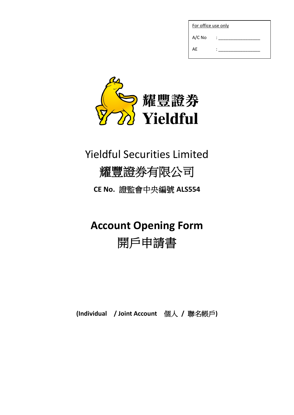| For office use only |  |  |  |  |  |
|---------------------|--|--|--|--|--|
| $A/C$ No            |  |  |  |  |  |
| AE                  |  |  |  |  |  |



# Yieldful Securities Limited

## 耀豐證券有限公司

**CE No.** 證監會中央編號 **ALS554**

# **Account Opening Form**

# 開戶申請書

**(Individual / Joint Account** 個人 **/** 聯名帳戶**)**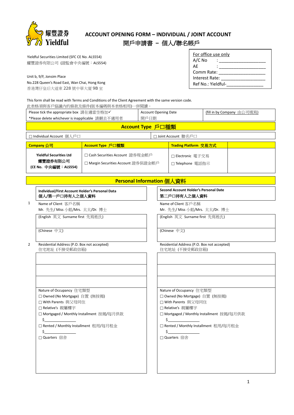

## **ACCOUNT OPENING FORM – INDIVIDUAL / JOINT ACCOUNT**

### 開戶申請書 **–** 個人**/**聯名帳戶

 Yieldful Securities Limited (SFC CE No. ALS554) 耀豐證券有限公司 (證監會中央編號:ALS554)

Unit b, 9/F, Jonsim Place

No.228 Queen's Road East, Wan Chai, Hong Kong 香港灣仔皇后大道東 228 號中華大廈 9B 室

| For office use only |  |  |  |  |
|---------------------|--|--|--|--|
| $A/C$ No            |  |  |  |  |
| AF                  |  |  |  |  |
| Comm Rate:          |  |  |  |  |
| Interest Rate:      |  |  |  |  |
| Ref No.: Yieldful-  |  |  |  |  |

This form shall be read with Terms and Conditions of the Client Agreement with the same version code.

此表格須與客戶協議內的條款及條件(版本編碼與本表格相用)一併閱讀。

| Please tick the appropriate box 請在適當空格加✔<br>*Please delete whichever is inapplicable 請刪去不適用者                                                  |                                                                                                                                                            |                           | <b>Account Opening Date</b><br>開戶日期 |                                       | (fill in by Company 由公司填寫)                                                                              |                                           |
|-----------------------------------------------------------------------------------------------------------------------------------------------|------------------------------------------------------------------------------------------------------------------------------------------------------------|---------------------------|-------------------------------------|---------------------------------------|---------------------------------------------------------------------------------------------------------|-------------------------------------------|
| Account Type 戶口種類                                                                                                                             |                                                                                                                                                            |                           |                                     |                                       |                                                                                                         |                                           |
|                                                                                                                                               | □ Individual Account 個人戶口                                                                                                                                  |                           |                                     |                                       | □ Joint Account 聯名戶口                                                                                    |                                           |
|                                                                                                                                               | Company 公司                                                                                                                                                 | Account Type 戶口種類         |                                     |                                       | Trading Platform 交易方式                                                                                   |                                           |
| □ Cash Securities Account 證券現金帳戶<br><b>Yieldful Securities Ltd</b><br>耀豐證券有限公司<br>□ Margin Securities Account 證券保證金帳戶<br>(CE No. 中央編號:ALS554) |                                                                                                                                                            |                           |                                     | □ Electronic 電子交易<br>□ Telephone 電話指示 |                                                                                                         |                                           |
|                                                                                                                                               |                                                                                                                                                            | Personal Information 個人資料 |                                     |                                       |                                                                                                         |                                           |
|                                                                                                                                               | Individual/First Account Holder's Personal Data<br>個人/第一戶口持有人之個人資料                                                                                         |                           |                                     |                                       | <b>Second Account Holder's Personal Date</b><br>第二戶口持有人之個人資料                                            |                                           |
| $\mathbf{1}$                                                                                                                                  | Name of Client 客戶名稱<br>Mr. 先生/ Miss 小姐/Mrs. 太太/Dr. 博士                                                                                                      |                           |                                     |                                       | Name of Client 客戶名稱<br>Mr. 先生/ Miss 小姐/Mrs. 太太/Dr. 博士                                                   |                                           |
|                                                                                                                                               | (English 英文 Surname first 先寫姓氏)                                                                                                                            |                           |                                     |                                       | (English 英文 Surname first 先寫姓氏)                                                                         |                                           |
|                                                                                                                                               | (Chinese 中文)                                                                                                                                               |                           |                                     |                                       | (Chinese 中文)                                                                                            |                                           |
| 2                                                                                                                                             | Residential Address (P.O. Box not accepted)<br>住宅地址 (不接受郵政信箱)                                                                                              |                           |                                     |                                       | Residential Address (P.O. Box not accepted)<br>住宅地址 (不接受郵政信箱)                                           |                                           |
|                                                                                                                                               |                                                                                                                                                            |                           |                                     |                                       |                                                                                                         |                                           |
|                                                                                                                                               |                                                                                                                                                            |                           |                                     |                                       |                                                                                                         |                                           |
|                                                                                                                                               |                                                                                                                                                            |                           |                                     |                                       |                                                                                                         |                                           |
|                                                                                                                                               | Nature of Occupancy 住宅類型<br>□ Owned (No Mortgage) 自置 (無按揭)<br>□ With Parents 與父母同住<br>□ Relative's 親屬樓宇<br>□ Mortgaged / Monthly Installment 按揭/每月供款<br>\$ |                           |                                     | \$                                    | Nature of Occupancy 住宅類型<br>□ Owned (No Mortgage) 自置 (無按揭)<br>□ With Parents 與父母同住<br>□ Relative's 親屬樓宇 | □ Mortgaged / Monthly Installment 按揭/每月供款 |
|                                                                                                                                               | □ Rented / Monthly Installment 租用/每月租金<br>\$.<br>□ Quarters 宿舍                                                                                             |                           |                                     |                                       | □ Quarters 宿舍                                                                                           | □ Rented / Monthly Installment 租用/每月租金    |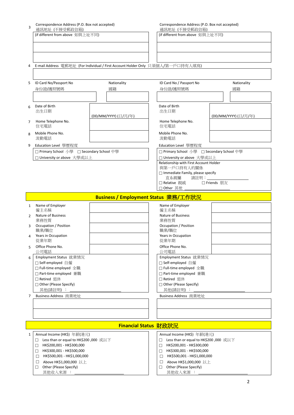#### Correspondence Address (P.O. Box not accepted)

通訊地址 (不接受郵政信箱) (if different from above 如與上址不同) (if different from above 如與上址不同)

3

## Correspondence Address (P.O. Box not accepted)

通訊地址 (不接受郵政信箱)<br>(if different from above 如與上址不同)

4 E-mail Address 電郵地址 (For Individual / First Account Holder Only 只須個人/第一戶口持有人填寫)

| 5              | ID Card No/Passport No                    | Nationality                          | ID Card No / Passport No                  | Nationality          |  |
|----------------|-------------------------------------------|--------------------------------------|-------------------------------------------|----------------------|--|
|                | 身份證/護照號碼                                  | 國籍                                   | 身份證/護照號碼                                  | 國籍                   |  |
|                |                                           |                                      |                                           |                      |  |
| 6              | Date of Birth                             |                                      | Date of Birth                             |                      |  |
|                | 出生日期                                      |                                      | 出生日期                                      |                      |  |
|                |                                           | (DD/MM/YYYY)(日/月/年)                  |                                           | (DD/MM/YYYY) (日/月/年) |  |
| $\overline{7}$ | Home Telephone No.<br>住宅電話                |                                      | Home Telephone No.<br>住宅電話                |                      |  |
| 8              | Mobile Phone No.                          |                                      | Mobile Phone No.                          |                      |  |
|                | 流動電話                                      |                                      | 流動電話                                      |                      |  |
| 9              | Education Level 學歷程度                      |                                      | Education Level 學歷程度                      |                      |  |
|                | □ Primary School 小學 □ Secondary School 中學 |                                      | □ Primary School 小學 □ Secondary School 中學 |                      |  |
|                | □ University or above  大學或以上              |                                      | □ University or above 大學或以上               |                      |  |
|                |                                           |                                      | Relationship with First Account Holder    |                      |  |
|                |                                           |                                      | 與第一戶口持有人的關係                               |                      |  |
|                |                                           |                                      | $\Box$ Immediate Family, please specify   |                      |  |
|                |                                           |                                      | 直系親屬 請註明:______                           |                      |  |
|                |                                           |                                      | □ Relative 親戚    □ Friends 朋友             |                      |  |
|                |                                           |                                      | □ Other 其他                                |                      |  |
|                |                                           | Business / Employment Status 業務/工作狀況 |                                           |                      |  |
|                | $  -$                                     |                                      |                                           |                      |  |

| $\mathbf{1}$  | Name of Employer                      | Name of Employer                      |  |  |
|---------------|---------------------------------------|---------------------------------------|--|--|
|               | 僱主名稱                                  | 僱主名稱                                  |  |  |
| $\mathcal{P}$ | Nature of Business                    | Nature of Business                    |  |  |
|               | 業務性質                                  | 業務性質                                  |  |  |
| 3             | Occupation / Position                 | Occupation / Position                 |  |  |
|               | 職業/職位                                 | 職業/職位                                 |  |  |
| 4             | Years in Occupation                   | Years in Occupation                   |  |  |
|               | 從業年期                                  | 從業年期                                  |  |  |
| 5             | Office Phone No.                      | Office Phone No.                      |  |  |
|               | 公司電話                                  | 公司電話                                  |  |  |
| 6             | Employment Status 就業情況                | Employment Status 就業情況                |  |  |
|               | □ Self-employed 自僱                    | □ Self-employed 自僱                    |  |  |
|               | □ Full-time employed 全職               | □ Full-time employed 全職               |  |  |
|               | □ Part-time employed 兼職               | □ Part-time employed 兼職               |  |  |
|               | □ Retired 退休                          | □ Retired 退休                          |  |  |
|               | $\Box$ Other (Please Specify)         | $\Box$ Other (Please Specify)         |  |  |
|               | 其他(請註明):                              | 其他(請註明):                              |  |  |
| 7             | Business Address 商業地址                 | Business Address 商業地址                 |  |  |
|               |                                       |                                       |  |  |
|               |                                       |                                       |  |  |
|               |                                       |                                       |  |  |
|               |                                       |                                       |  |  |
|               |                                       | <b>Financial Status 財政狀況</b>          |  |  |
|               |                                       |                                       |  |  |
| 1             | Annual Income (HK\$) 年薪(港元)           | Annual Income (HK\$) 年薪(港元)           |  |  |
|               | Less than or equal to HK\$200,000 或以下 | Less than or equal to HK\$200,000 或以下 |  |  |
|               | HK\$200,001 - HK\$300,000             | HK\$200,001 - HK\$300,000             |  |  |

- 
- □ HK\$300,001 HK\$500,000 HK\$500,001 - HK\$1,000,000
- □ Above HK\$1,000,000 以上
- □ Other (Please Specify)
- 其他收入來源 :
- HK\$200,001 HK\$300,000
- □ HK\$300,001 HK\$500,000
- HK\$500,001 HK\$1,000,000
- □ Above HK\$1,000,000 以上
- □ Other (Please Specify)
	- 其他收入來源 :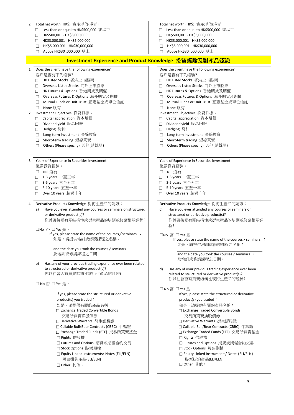| Total net worth (HK\$) 資產淨值(港元)<br>2                                                                                                                                          | Total net worth (HK\$) 資產淨值(港元)                                                                                                                                        |
|-------------------------------------------------------------------------------------------------------------------------------------------------------------------------------|------------------------------------------------------------------------------------------------------------------------------------------------------------------------|
| Less than or equal to HK\$500,000 或以下                                                                                                                                         | Less than or equal to HK\$500,000 或以下<br>□                                                                                                                             |
| HK\$500,001 - HK\$3,000,000                                                                                                                                                   | HK\$500,001 - HK\$3,000,000                                                                                                                                            |
| □                                                                                                                                                                             | □                                                                                                                                                                      |
| HK\$3,000,001 - HK\$5,000,000                                                                                                                                                 | HK\$3,000,001 - HK\$5,000,000                                                                                                                                          |
| □                                                                                                                                                                             | □                                                                                                                                                                      |
| HK\$5,000,001 - HK\$30,000,000                                                                                                                                                | HK\$5,000,001 - HK\$30,000,000                                                                                                                                         |
| □                                                                                                                                                                             | □                                                                                                                                                                      |
| Above HK\$30 ,000,000 以上<br>П                                                                                                                                                 | Above HK\$30,000,000 以上                                                                                                                                                |
|                                                                                                                                                                               | Investment Experience and Product Knowledge 投資經驗及對產品認識                                                                                                                 |
| Does the client have the following experience?<br>1                                                                                                                           | Does the client have the following experience?                                                                                                                         |
| 客戶是否有下列經驗?                                                                                                                                                                    | 客戶是否有下列經驗?                                                                                                                                                             |
| □ HK Listed Stocks 香港上市股票                                                                                                                                                     | HK Listed Stocks 香港上市股票<br>П                                                                                                                                           |
| Overseas Listed Stocks  海外上市股票                                                                                                                                                | Overseas Listed Stocks 海外上市股票                                                                                                                                          |
| □                                                                                                                                                                             | □                                                                                                                                                                      |
| HK Futures & Options 香港期貨及期權                                                                                                                                                  | HK Futures & Options 香港期貨及期權                                                                                                                                           |
| П                                                                                                                                                                             | □                                                                                                                                                                      |
| Overseas Futures & Options  海外期貨及期權                                                                                                                                           | Overseas Futures & Options 海外期貨及期權                                                                                                                                     |
| □                                                                                                                                                                             | □                                                                                                                                                                      |
| Mutual Funds or Unit Trust 互惠基金或單位信託                                                                                                                                          | Mutual Funds or Unit Trust 互惠基金或單位信託                                                                                                                                   |
| □                                                                                                                                                                             | П                                                                                                                                                                      |
| None 沒有                                                                                                                                                                       | None 沒有                                                                                                                                                                |
| П                                                                                                                                                                             | П                                                                                                                                                                      |
| Investment Objectives 投資目標:<br>2                                                                                                                                              | Investment Objectives 投資目標:                                                                                                                                            |
| Capital appreciation 資本增值                                                                                                                                                     | Capital appreciation 資本增值<br>п                                                                                                                                         |
| Dividend yield 股息回報                                                                                                                                                           | Dividend yield 股息回報                                                                                                                                                    |
| □                                                                                                                                                                             | □                                                                                                                                                                      |
| Hedging 對沖                                                                                                                                                                    | Hedging 對沖                                                                                                                                                             |
| $\Box$                                                                                                                                                                        | □                                                                                                                                                                      |
| Long-term investment  長線投資                                                                                                                                                    | Long-term investment 長線投資                                                                                                                                              |
| □                                                                                                                                                                             | □                                                                                                                                                                      |
| Short-term trading 短線買賣                                                                                                                                                       | Short-term trading 短線買賣                                                                                                                                                |
| □                                                                                                                                                                             | □                                                                                                                                                                      |
| Others (Please specify) 其他(請說明)                                                                                                                                               | Others (Please specify) 其他(請說明)                                                                                                                                        |
| □                                                                                                                                                                             | П                                                                                                                                                                      |
|                                                                                                                                                                               |                                                                                                                                                                        |
| Years of Experience in Securities Investment<br>3                                                                                                                             | Years of Experience in Securities Investment                                                                                                                           |
| 證券投資經驗:                                                                                                                                                                       | 證券投資經驗:                                                                                                                                                                |
| Nil 沒有                                                                                                                                                                        | Nil 沒有                                                                                                                                                                 |
| ⊔                                                                                                                                                                             | □                                                                                                                                                                      |
| 1-3 years 一至三年                                                                                                                                                                | 1-3 years 一至三年                                                                                                                                                         |
| П                                                                                                                                                                             | □                                                                                                                                                                      |
| <b>3-5 years</b> 三至五年                                                                                                                                                         | 3-5 years 三至五年                                                                                                                                                         |
| П.                                                                                                                                                                            | П                                                                                                                                                                      |
| 5-10 years  五至十年                                                                                                                                                              | 5-10 years 五至十年                                                                                                                                                        |
| □                                                                                                                                                                             | П                                                                                                                                                                      |
| Over 10 years 超過十年                                                                                                                                                            | Over 10 years 超過十年                                                                                                                                                     |
| П                                                                                                                                                                             | П                                                                                                                                                                      |
| Derivative Products Knowledge 對衍生產品的認識:<br>4<br>Have you ever attended any courses or seminars on structured<br>a)<br>or derivative product(s)?<br>你曾否接受有關結構性或衍生產品的培訓或修讀相關課程? | Derivative Products Knowledge 對衍生產品的認識:<br>Have you ever attended any courses or seminars on<br>c)<br>structured or derivative product(s)?<br>你曾否接受有關結構性或衍生產品的培訓或修讀相關課 |
|                                                                                                                                                                               | 程?                                                                                                                                                                     |
| □No 否 □ Yes是,<br>If yes, please state the name of the courses / seminars :<br>如是,請提供培訓或修讀課程之名稱:<br>and the date you took the courses / seminars :                             | □No 否 □ Yes 是,<br>If yes, please state the name of the courses / seminars :<br>如是,請提供培訓或修讀課程之名稱:                                                                       |
| 及培訓或修請課程之日期:                                                                                                                                                                  | and the date you took the courses / seminars :<br>及培訓或修請課程之日期:                                                                                                         |
| Has any of your previous trading experience ever been related                                                                                                                 | Has any of your previous trading experience ever been                                                                                                                  |
| b)                                                                                                                                                                            | d)                                                                                                                                                                     |
| to structured or derivative product(s)?                                                                                                                                       | related to structured or derivative product(s)?                                                                                                                        |
| 你以往會否有買賣結構性或衍生產品的經驗?                                                                                                                                                          | 你以往會否有買賣結構性或衍生產品的經驗?                                                                                                                                                   |
| □ No 否 □ Yes 是,                                                                                                                                                               | □ No 否 □ Yes 是,                                                                                                                                                        |
| If yes, please state the structured or derivative                                                                                                                             | If yes, please state the structured or derivative                                                                                                                      |
| product(s) you traded:                                                                                                                                                        | product(s) you traded:                                                                                                                                                 |
| 如是,請提供有關的產品名稱:                                                                                                                                                                | 如是,請提供有關的產品名稱:                                                                                                                                                         |
| $\Box$ Exchange Traded Convertible Bonds                                                                                                                                      | $\Box$ Exchange Traded Convertible Bonds                                                                                                                               |
| 交易所買賣換股債券                                                                                                                                                                     | 交易所買賣換股債券                                                                                                                                                              |
| □ Derivative Warrants 衍生認股證                                                                                                                                                   | □ Derivative Warrants 衍生認股證                                                                                                                                            |
| □ Callable Bull/Bear Contracts (CBBC) 牛熊證                                                                                                                                     | □ Callable Bull/Bear Contracts (CBBC) 牛熊證                                                                                                                              |
| □ Exchange Traded Funds (ETF) 交易所買賣基金                                                                                                                                         | □ Exchange Traded Funds (ETF) 交易所買賣基金                                                                                                                                  |
| □ Rights 供股權                                                                                                                                                                  | □ Rights 供股權                                                                                                                                                           |
| □ Futures and Options 期貨或期權合約交易                                                                                                                                               | □ Futures and Options 期貨或期權合約交易                                                                                                                                        |
| □ Stock Options 股票期權                                                                                                                                                          | □ Stock Options 股票期權                                                                                                                                                   |
| □ Equity Linked Instruments/ Notes (ELI/ELN)                                                                                                                                  | □ Equity Linked Instruments/ Notes (ELI/ELN)                                                                                                                           |
| 股票掛鉤產品(ELI/ELN)                                                                                                                                                               | 股票掛鉤產品(ELI/ELN)                                                                                                                                                        |
| □ Other 其他: $_$                                                                                                                                                               |                                                                                                                                                                        |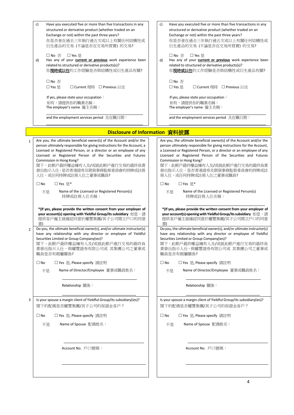|                | c)<br>Have you executed five or more than five transactions in any<br>structured or derivative product (whether traded on an<br>Exchange or not) within the past three years?<br>你是否曾在過去三年執行過五次或以上有關任何結構性或<br>衍生產品的交易 (不論是否在交易所買賣) 的交易?<br>□ No 否<br>□ Yes 是<br>Has any of your <b>current or previous</b> work experience been<br>d)<br>related to structured or derivative products(s)?<br>你現時或以往的工作經驗是否與結構性或衍生產品有關?<br>$\square$ No $\overline{\triangle}$<br>□ Yes 是<br>□ Current 現時 □ Previous 以往<br>If yes, please state your occupation:<br>如有,請提供你的職業名稱:<br>The employer's name 僱主名稱:<br>and the employment services period 及在職日期: | c)<br>Have you executed five or more than five transactions in any<br>structured or derivative product (whether traded on an<br>Exchange or not) within the past three years?<br>你是否曾在過去三年執行過五次或以上有關任何結構性或<br>衍生產品的交易 (不論是否在交易所買賣) 的交易?<br>□ No 否<br>□ Yes 是<br>Has any of your <b>current or previous</b> work experience been<br>d)<br>related to structured or derivative products(s)?<br>你 <b>現時或以往</b> 的工作經驗是否與結構性或衍生產品有關?<br>$\square$ No $\overline{\triangle}$<br>□ Yes 是<br>□ Current 現時 □ Previous 以往<br>If yes, please state your occupation:<br>如有,請提供你的職業名稱:<br>The employer's name 僱主名稱:<br>and the employment services period 及在職日期: |
|----------------|--------------------------------------------------------------------------------------------------------------------------------------------------------------------------------------------------------------------------------------------------------------------------------------------------------------------------------------------------------------------------------------------------------------------------------------------------------------------------------------------------------------------------------------------------------------------------------------------------------------------------------------------|-----------------------------------------------------------------------------------------------------------------------------------------------------------------------------------------------------------------------------------------------------------------------------------------------------------------------------------------------------------------------------------------------------------------------------------------------------------------------------------------------------------------------------------------------------------------------------------------------------------------------------------------------------|
|                | Disclosure of Information 資料披露                                                                                                                                                                                                                                                                                                                                                                                                                                                                                                                                                                                                             |                                                                                                                                                                                                                                                                                                                                                                                                                                                                                                                                                                                                                                                     |
| $\mathbf{1}$   | Are you, the ultimate beneficial owner(s) of the Account and/or the<br>person ultimately responsible for giving instructions for the Account, a<br>Licensed or Registered Person, or a director or an employee of any<br>Licensed or Registered Person of the Securities and Futures<br>Commission in Hong Kong?<br>閣下,此帳戶最終權益擁有人及/或就此帳戶進行交易的最終負責<br>發出指示人仕,是否香港證券及期貨事務監察委員會的持牌或註冊<br>人仕,或任何持牌或註冊人仕之董事或職員?<br>□ Yes 是*<br>$\square$ No<br>Name of the Licensed or Registered Person(s)<br>不是<br>持牌或註冊人仕名稱:                                                                                                                                 | Are you, the ultimate beneficial owner(s) of the Account and/or the<br>person ultimately responsible for giving instructions for the Account,<br>a Licensed or Registered Person, or a director or an employee of any<br>Licensed or Registered Person of the Securities and Futures<br>Commission in Hong Kong?<br>閣下,此帳戶最終權益擁有人及/或就此帳戶進行交易的最終負責<br>發出指示人仕,是否香港證券及期貨事務監察委員會的持牌或註<br>冊人仕,或任何持牌或註冊人仕之董事或職員?<br>□ Yes 是*<br>$\square$ No<br>Name of the Licensed or Registered Person(s)<br>不是<br>持牌或註冊人仕名稱:                                                                                                                                          |
|                | *(If yes, please provide the written consent from your employer of<br>your account(s) opening with Yieldful Group/its subsidiary 如是, 請<br>提供客戶僱主就確認同意於耀豐集團/其子公司開立戶口的同意<br>書)                                                                                                                                                                                                                                                                                                                                                                                                                                                               | *(If yes, please provide the written consent from your employer of<br>your account(s) opening with Yieldful Group/its subsidiary 如是, 請<br>提供客戶僱主就確認同意於耀豐集團/其子公司開立戶口的同意<br>書)                                                                                                                                                                                                                                                                                                                                                                                                                                                                        |
| $\overline{2}$ | Do you, the ultimate beneficial owner(s), and/or ultimate instructor(s)<br>have any relationship with any director or employee of Yieldful<br>Securities Limited or Group Company(ies)?<br>閣下,此帳戶最終權益擁有人及/或就此帳戶進行交易的最終負<br>責發出指示人仕,與耀豐證券有限公司或 其集團公司之董事或<br>職員是否有親屬關係?                                                                                                                                                                                                                                                                                                                                                                      | Do you, the ultimate beneficial owner(s), and/or ultimate instructor(s)<br>have any relationship with any director or employee of Yieldful<br>Securities Limited or Group Company(ies)?<br>閣下,此帳戶最終權益擁有人及/或就此帳戶進行交易的最終負<br>責發出指示人仕,與耀豐證券有限公司或 其集團公司之董事或<br>職員是否有親屬關係?                                                                                                                                                                                                                                                                                                                                                                               |
|                | $\square$ No<br>□ Yes 是, Please specify 請註明                                                                                                                                                                                                                                                                                                                                                                                                                                                                                                                                                                                                | $\square$ No<br>□ Yes 是, Please specify 請註明                                                                                                                                                                                                                                                                                                                                                                                                                                                                                                                                                                                                         |
|                | Name of Director/Employee 董事或職員姓名:<br>不是                                                                                                                                                                                                                                                                                                                                                                                                                                                                                                                                                                                                   | Name of Director/Employee 董事或職員姓名:<br>不是                                                                                                                                                                                                                                                                                                                                                                                                                                                                                                                                                                                                            |
|                | Relationship 關係:                                                                                                                                                                                                                                                                                                                                                                                                                                                                                                                                                                                                                           | Relationship 關係:                                                                                                                                                                                                                                                                                                                                                                                                                                                                                                                                                                                                                                    |
| 3              | Is your spouse a margin client of Yieldful Group/its subsidiary(ies)?<br>閣下的配偶是否耀豐集團/其子公司的保證金客戶?                                                                                                                                                                                                                                                                                                                                                                                                                                                                                                                                           | Is your spouse a margin client of Yieldful Group/its subsidiary(ies)?<br>閣下的配偶是否耀豐集團/其子公司的保證金客戶?                                                                                                                                                                                                                                                                                                                                                                                                                                                                                                                                                    |
|                | □ Yes 是, Please specify 請註明<br>$\square$ No                                                                                                                                                                                                                                                                                                                                                                                                                                                                                                                                                                                                | $\square$ No<br>□ Yes 是, Please specify 請註明                                                                                                                                                                                                                                                                                                                                                                                                                                                                                                                                                                                                         |
|                | Name of Spouse 配偶姓名:<br>不是                                                                                                                                                                                                                                                                                                                                                                                                                                                                                                                                                                                                                 | Name of Spouse 配偶姓名:<br>不是                                                                                                                                                                                                                                                                                                                                                                                                                                                                                                                                                                                                                          |
|                | Account No. 戶口號碼:                                                                                                                                                                                                                                                                                                                                                                                                                                                                                                                                                                                                                          | Account No. 戶口號碼:                                                                                                                                                                                                                                                                                                                                                                                                                                                                                                                                                                                                                                   |
|                |                                                                                                                                                                                                                                                                                                                                                                                                                                                                                                                                                                                                                                            |                                                                                                                                                                                                                                                                                                                                                                                                                                                                                                                                                                                                                                                     |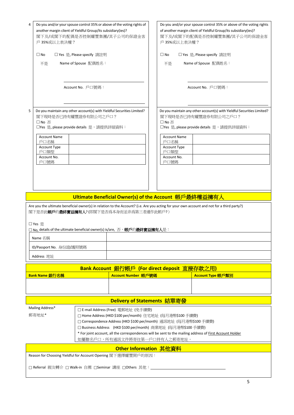|   | Do you and/or your spouse control 35% or above of the voting rights of<br>another margin client of Yieldful Group/its subsidiary(ies)?<br>閣下及/或閣下的配偶是否控制耀豐集團/其子公司的保證金客<br>戶 35%或以上表決權?<br>$\square$ No<br>□ Yes 是, Please specify 請註明 |                                                           | Do you and/or your spouse control 35% or above of the voting rights<br>of another margin client of Yieldful Group/its subsidiary(ies)?<br>閣下及/或閣下的配偶是否控制耀豐集團/其子公司的保證金客<br>戶 35%或以上表決權?<br>$\Box$ No<br>□ Yes 是, Please specify 請註明 |  |  |
|---|---------------------------------------------------------------------------------------------------------------------------------------------------------------------------------------------------------------------------------------|-----------------------------------------------------------|------------------------------------------------------------------------------------------------------------------------------------------------------------------------------------------------------------------------------------|--|--|
|   | Name of Spouse 配偶姓名:<br>不是                                                                                                                                                                                                            |                                                           | Name of Spouse 配偶姓名:<br>不是                                                                                                                                                                                                         |  |  |
|   |                                                                                                                                                                                                                                       |                                                           |                                                                                                                                                                                                                                    |  |  |
|   | Account No. 戶口號碼:                                                                                                                                                                                                                     |                                                           | Account No. 戶口號碼:                                                                                                                                                                                                                  |  |  |
| 5 | Do you maintain any other account(s) with Yieldful Securities Limited?<br>閣下現時是否已持有耀豐證券有限公司之戶口?<br>□ No 否<br>□Yes 是, please provide details 是, 請提供詳細資料:                                                                               |                                                           | Do you maintain any other account(s) with Yieldful Securities Limited?<br>閣下現時是否已持有耀豐證券有限公司之戶口?<br>□ No 否<br>□Yes 是, please provide details 是, 請提供詳細資料:                                                                            |  |  |
|   | <b>Account Name</b><br>戶口名稱                                                                                                                                                                                                           |                                                           | <b>Account Name</b><br>戶口名稱                                                                                                                                                                                                        |  |  |
|   | <b>Account Type</b><br>戶口類型                                                                                                                                                                                                           |                                                           | <b>Account Type</b><br>戶口類型                                                                                                                                                                                                        |  |  |
|   | Account No.<br>戶口號碼                                                                                                                                                                                                                   |                                                           | Account No.<br>戶口號碼                                                                                                                                                                                                                |  |  |
|   |                                                                                                                                                                                                                                       |                                                           |                                                                                                                                                                                                                                    |  |  |
|   |                                                                                                                                                                                                                                       |                                                           |                                                                                                                                                                                                                                    |  |  |
|   |                                                                                                                                                                                                                                       |                                                           |                                                                                                                                                                                                                                    |  |  |
|   |                                                                                                                                                                                                                                       |                                                           | Ultimate Beneficial Owner(s) of the Account 帳戶最終權益擁有人                                                                                                                                                                              |  |  |
|   | 閣下是否此 <b>帳戶</b> 的最終實益擁有人?(即閣下是否爲本身而並非爲第三者運作此帳戶?)                                                                                                                                                                                      |                                                           | Are you the ultimate beneficial owner(s) in relation to the Account? (i.e. Are you acting for your own account and not for a third party?)                                                                                         |  |  |
|   | □ Yes 是                                                                                                                                                                                                                               |                                                           |                                                                                                                                                                                                                                    |  |  |
|   | □ No, details of the ultimate beneficial owner(s) is/are,  否, <b>帳戶</b> 的 <b>最終實益擁有人</b> 是:                                                                                                                                           |                                                           |                                                                                                                                                                                                                                    |  |  |
|   | Name 名稱                                                                                                                                                                                                                               |                                                           |                                                                                                                                                                                                                                    |  |  |
|   | ID/Passport No. 身份證/護照號碼                                                                                                                                                                                                              |                                                           |                                                                                                                                                                                                                                    |  |  |
|   | Address 地址                                                                                                                                                                                                                            |                                                           |                                                                                                                                                                                                                                    |  |  |
|   |                                                                                                                                                                                                                                       |                                                           | Bank Account 銀行帳戶 (For direct deposit 直接存款之用)                                                                                                                                                                                      |  |  |
|   | Bank Name 銀行名稱                                                                                                                                                                                                                        | Account Number 帳戶號碼                                       | Account Type 帳戶類別                                                                                                                                                                                                                  |  |  |
|   |                                                                                                                                                                                                                                       |                                                           |                                                                                                                                                                                                                                    |  |  |
|   |                                                                                                                                                                                                                                       | Delivery of Statements 結單寄發                               |                                                                                                                                                                                                                                    |  |  |
|   | Mailing Address*                                                                                                                                                                                                                      | □ E-mail Address (Free) 電郵地址 (免手續費)                       |                                                                                                                                                                                                                                    |  |  |
|   | 郵寄地址*                                                                                                                                                                                                                                 | □ Home Address (HKD \$100 per/month) 住宅地址 (每月港幣\$100 手續費) | □ Correspondence Address (HKD \$100 per/month) 通訊地址 (每月港幣\$100 手續費)                                                                                                                                                                |  |  |
|   |                                                                                                                                                                                                                                       |                                                           | □ Business Address (HKD \$100 per/month) 商業地址 (每月港幣\$100 手續費)                                                                                                                                                                      |  |  |
|   |                                                                                                                                                                                                                                       | 如屬聯名戶口,所有通訊文件將寄往第一戶口持有人之郵寄地址。                             | * For joint account, all the correspondences will be sent to the mailing address of <b>First Account Holder</b>                                                                                                                    |  |  |
|   |                                                                                                                                                                                                                                       | Other Information 其他資料                                    |                                                                                                                                                                                                                                    |  |  |
|   | Reason for Choosing Yieldful for Account Opening 閣下選擇耀豐開戶的原因:                                                                                                                                                                         |                                                           |                                                                                                                                                                                                                                    |  |  |
|   | □ Referral 親友轉介 □ Walk-in 自薦 □Seminar 講座 □Others 其他:                                                                                                                                                                                  |                                                           |                                                                                                                                                                                                                                    |  |  |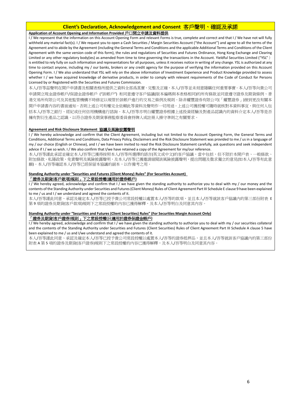#### **Client's Declaration, Acknowledgement and Consent** 客戶聲明、確認及承諾

#### **Application of Account Opening and Information Provided** 戶口開立申請及資料提供

I / We represent that the information on this Account Opening Form and relevant Forms is true, complete and correct and that I / We have not will fully withheld any material fact(s). I / We request you to open a Cash Securities / Margin Securities Account ("the Account") and agree to all the terms of the Agreement and to abide by the Agreement (including the General Terms and Conditions and the applicable Additional Terms and Conditions of the Client Agreement with the same version code of this form), the rules and regulations of Securities and Futures Ordinance, Hong Kong Exchange and Clearing Limited or any other regulatory body(ies) as amended from time to time governing the transactions in the Account. Yieldful Securities Limited ("YSL") is entitled to rely fully on such information and representations for all purposes, unless it receives notice in writing of any change. YSL is authorized at any time to contact anyone, including my / our banks, brokers or any credit agency for the purpose of verifying the information provided on this Account Opening Form. I / We also understand that YSL will rely on the above information of Investment Experience and Product Knowledge provided to assess whether I / we have acquired knowledge of derivative products, in order to comply with relevant requirements of the Code of Conduct for Persons Licensed by or Registered with the Securities and Futures Commission.

本人/吾等茲聲明在開戶申請書及相關表格所提供之資料全部爲真實、完整及正確,本人/吾等並未刻意隱瞞任何重要事實。本人/吾等向貴公司 申請開立現金證券帳戶/保證金證券帳戶 ("該帳戶") 和同意遵守客戶協議(版本編碼與本表格相同)的所有條款並同意遵守證券及期貨條例、香 港交易所有限公司及其他監管機構不時修定以規管於該帳戶進行的交易之條例及規則。除非耀豐證券有限公司(「耀豐證券」)接到更改有關本 開戶申請書內容的書面通知,否則上述公司有權完全依賴此等資料及聲明作一切用途。上述公司獲授權可隨時就核對本資料事宜,與任何人包 括本人/吾等之銀行、經紀或任何信用機構進行諮詢。本人/吾等亦明白耀豐證券根據上述投資經驗及對產品認識內的資料介定本人/吾等是否 擁有對衍生產品之認識,以符合證券及期貨事務監察委員會持牌人或註冊人操守準則之有關要求。

#### **Agreement and Risk Disclosure Statement** 協議及風險披露聲明

I / We hereby acknowledge and confirm that the Client Agreement, including but not limited to the Account Opening Form, the General Terms and Conditions, Additional Terms and Conditions, Data Privacy Policy, Disclaimers and the Risk Disclosure Statement was provided to me / us in a language of my / our choice (English or Chinese), and I / we have been invited to read the Risk Disclosure Statement carefully, ask questions and seek independent advice if I / we so wish. I / We also confirm that I/we have retained a copy of the Agreement for my/our reference.

本人/吾等謹此承認並確定本人/吾等已獲得按照本人/吾等所選擇的語言(英文或中文)的客戶協議,當中包括,但不限於本開戶表、一般條款、 附加條款、私隱政策、免責聲明及風險披露聲明,及本人/吾等已獲邀請細閱該風險披露聲明,提出問題及徵求獨立的意見(如本人/吾等有此意 願)。本人/吾等確認本人/吾等已經保留本協議的副本,以作備考之用。

#### **Standing Authority under "Securities and Futures (Client Money) Rules" (For Securities Account)**

#### 「證券及期貨**(**客戶款項**)**規則」下之常設授權**(**適用於證券帳戶**)**

I / We hereby agreed, acknowledge and confirm that I / we have given the standing authority to authorize you to deal with my / our money and the contents of the Standing Authority under Securities and Futures (Client Money) Rules of Client Agreement Part III Schedule E clause 9 have been explained to me / us and I / we understand and agreed the contents of it.

本人/吾等謹此同意、承認及確定本人/吾等已授予貴公司常設授權以處置本人/吾等的款項,並且本人/吾等就該客戶協議内的第三部份附表 E 第 9 項的證券及期貨(客戶款項)規則下之常設授權的內容已獲得解釋,及本人/吾等明白及同意其內容。

#### **Standing Authority under "Securities and Futures (Client Securities) Rules" (For Securities Margin Account Only)**

#### 「證券及期貨**(**客戶證券**)**規則」下之常設授權**(**只適用於證券保證金帳戶**)**

I / We hereby agreed, acknowledge and confirm that I / we have given the standing authority to authorize you to deal with my / our securities collateral and the contents of the Standing Authority under Securities and Futures (Client Securities) Rules of Client Agreement Part III Schedule A clause 5 have been explained to me / us and I/we understand and agreed the contents of it.

本人/吾等謹此同意、承認及確定本人/吾等已授予貴公司常設授權以處置本人/吾等的證券抵押品,並且本人/吾等就該客戶協議內的第三部份 附表 A 第 5 項的證券及期貨(客戶證券)規則下之常設授權的內容已獲得解釋,及本人/吾等明白及同意其內容。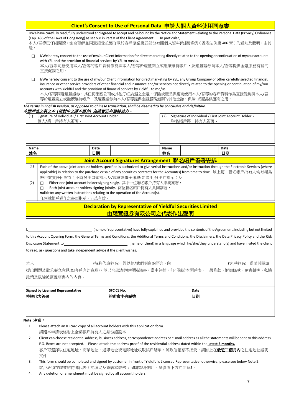|                         |                                                                                                                                                                                                                                                                                                                                                                                                                                                                                                                          | Client's Consent to Use of Personal Data 申請人個人資料使用同意書                                                               |                |                                                                       |  |  |  |
|-------------------------|--------------------------------------------------------------------------------------------------------------------------------------------------------------------------------------------------------------------------------------------------------------------------------------------------------------------------------------------------------------------------------------------------------------------------------------------------------------------------------------------------------------------------|---------------------------------------------------------------------------------------------------------------------|----------------|-----------------------------------------------------------------------|--|--|--|
| 是,                      | I/We have carefully read, fully understood and agreed to accept and be bound by the Notice and Statement Relating to the Personal Data (Privacy) Ordinance<br>(Cap. 486 of the Laws of Hong Kong) as set our in Part V of the Client Agreement.<br>本人/吾等已仔細閱讀,完全理解並同意接受並遵守載於客戶協議第五部份有關個人資料(私隱)條例 ( 香港法例第 486 章 ) 的通知及聲明,由其                                                                                                                                                                                               |                                                                                                                     | In particular, |                                                                       |  |  |  |
| $\Box$<br>直接促銷之用。       | I/We hereby consent to the use of my/our Client Information for direct marketing directly related to the opening or continuation of my/our accounts<br>with YSL and the provision of financial services by YSL to me/us.<br>本人/吾等同意使用本人/吾等的客戶資料作爲與本人/吾等於耀豐開立或繼續維持帳戶,及耀豐證券向本人/吾等提供金融服務有關的                                                                                                                                                                                                                                 |                                                                                                                     |                |                                                                       |  |  |  |
| □                       | I/We hereby consent to the use of my/our Client Information for direct marketing by YSL, any Group Company or other carefully selected financial,<br>insurance or other service providers of other financial and insurance and/or services not directly related to the opening or continuation of my/our<br>accounts with Yieldful and the provision of financial services by Yieldful to me/us.<br>本人/吾等同意耀豐證券、其任何集團公司或其他仔細挑選之金融、保險或產品供應商使用本人/吾等的客戶資料作爲直接促銷與本人/吾<br>等於耀豐開立或繼續維持帳戶,及耀豐證券向本人/吾等提供金融服務無關的其他金融、保險 或產品供應商之用。 |                                                                                                                     |                |                                                                       |  |  |  |
|                         | The terms in English version, as opposed to Chinese translation, shall be deemed to be conclusive and definitive.<br>本開戶表之英文本 (相對中文譯本而言) 為確實及有最終效力。                                                                                                                                                                                                                                                                                                                                                                      |                                                                                                                     |                |                                                                       |  |  |  |
| (1)<br>個人/第一戶持有人簽署:     | Signature of Individual / First Joint Account Holder:                                                                                                                                                                                                                                                                                                                                                                                                                                                                    |                                                                                                                     | (2)            | Signature of Individual / First Joint Account Holder:<br>聯名帳戶第二持有人簽署: |  |  |  |
|                         |                                                                                                                                                                                                                                                                                                                                                                                                                                                                                                                          |                                                                                                                     |                |                                                                       |  |  |  |
| Name<br>姓名              | Date<br>日期                                                                                                                                                                                                                                                                                                                                                                                                                                                                                                               |                                                                                                                     | Name<br>姓名     | <b>Date</b><br>日期                                                     |  |  |  |
|                         |                                                                                                                                                                                                                                                                                                                                                                                                                                                                                                                          | Joint Account Signatures Arrangement 聯名帳戶簽署安排                                                                       |                |                                                                       |  |  |  |
| $\Box$                  | Both joint account holders signing jointly, 兩位聯名帳戶持有人共同簽署,<br>validates any written instructions relating to the operation of the Account(s).<br>任何就帳戶運作之書面指示,方爲有效。                                                                                                                                                                                                                                                                                                                                                      |                                                                                                                     |                |                                                                       |  |  |  |
|                         |                                                                                                                                                                                                                                                                                                                                                                                                                                                                                                                          | <b>Declaration by Representative of Yieldful Securities Limited</b><br>由耀豐證券有限公司之代表作出聲明                             |                |                                                                       |  |  |  |
|                         |                                                                                                                                                                                                                                                                                                                                                                                                                                                                                                                          | (name of representative) have fully explained and provided the contents of the Agreement, including but not limited |                |                                                                       |  |  |  |
| Disclosure Statement to | to this Account Opening Form, the General Terms and Conditions, the Additional Terms and Conditions, the Disclaimers, the Data Privacy Policy and the Risk                                                                                                                                                                                                                                                                                                                                                               | (name of client) in a language which he/she/they understand(s) and have invited the client                          |                |                                                                       |  |  |  |
|                         | to read, ask questions and take independent advice if the client wishes.                                                                                                                                                                                                                                                                                                                                                                                                                                                 |                                                                                                                     |                |                                                                       |  |  |  |
| 本人                      | 提出問題及徵求獨立意見(如客戶有此意願),並已全部清楚解釋協議書,當中包括,但不限於本開戶表、一般條款、附加條款、免責聲明、私隱                                                                                                                                                                                                                                                                                                                                                                                                                                                         |                                                                                                                     |                |                                                                       |  |  |  |
| 政策及風險披露聲明書內的內容。         |                                                                                                                                                                                                                                                                                                                                                                                                                                                                                                                          |                                                                                                                     |                |                                                                       |  |  |  |
|                         | <b>SFC CE No.</b><br><b>Date</b><br><b>Signed by Licensed Representative</b>                                                                                                                                                                                                                                                                                                                                                                                                                                             |                                                                                                                     |                |                                                                       |  |  |  |
| 持牌代表簽署                  | 日期<br>證監會中央編號                                                                                                                                                                                                                                                                                                                                                                                                                                                                                                            |                                                                                                                     |                |                                                                       |  |  |  |
| Note 注意:                |                                                                                                                                                                                                                                                                                                                                                                                                                                                                                                                          |                                                                                                                     |                |                                                                       |  |  |  |
| 1.                      | Please attach an ID card copy of all account holders with this application form.<br>請隨本申請表格附上全部帳戶持有人之身份證副本                                                                                                                                                                                                                                                                                                                                                                                                               |                                                                                                                     |                |                                                                       |  |  |  |

- 2. Client can choose residential address, business address, correspondence address or e-mail address as all the statements will be sent to this address. P.O. Boxes are not accepted. Please attach the address proof of the residential address dated within the **latest 3 months.** 客戶可選擇以住宅地址、商業地址、通訊地址或電郵地址收取帳戶結單。郵政信箱恕不接受。請附上在**最近三個月內**之住宅地址證明 文件
- 3. This form should be completed and signed by customer in front of Yieldful's Licensed Representative, otherwise, please see below Note 5. 客戶必須在耀豐的持牌代表面前填妥及簽署本表格;如非親身開戶,請參看下方的注意5。
- 4. Any deletion or amendment must be signed by all account holders.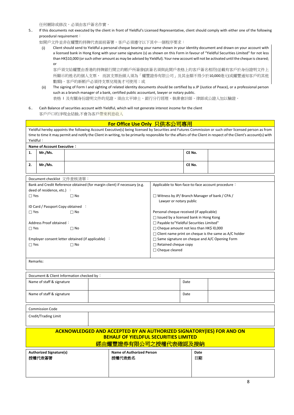任何刪除或修改,必須由客戶簽名作實。

#### 5.. If this documents not executed by the client in front of Yieldful's Licensed Representative, client should comply with either one of the following procedural requirement:

如開戶文件並非在耀豐的持牌代表面前簽署,客戶必須遵守以下其中一個程序要求:

Client should send to Yieldful a personal cheque bearing your name shown in your identity document and drawn on your account with a licensed bank in Hong Kong with your same signature (s) as shown on this Form in favour of "Yieldful Securities Limited" for not less than HK\$10,000 (or such other amount as may be advised by Yieldful). Your new account will not be activated until the cheque is cleared; or

客戶須交給耀豐由香港的持牌銀行開立的帳戶所簽發(該簽名須與此開戶表格上的客戶簽名相符)並載有客戶於身份證明文件上 所顯示的姓名的個人支票, 而該支票抬頭人須為「耀豐證券有限公司」及其金額不得少於10,000港元(或耀豐通知客戶的其他 數額)。客戶的新帳戶必須待支票兌現後才可使用;或

- (ii) The signing of Form I and sighting of related identity documents should be certified by a JP (Justice of Peace), or a professional person such as a branch manager of a bank, certified public accountant, lawyer or notary public. 表格 I 及有關身份證明文件的見證,須由太平紳士、銀行分行經理、執業會計師、律師或公證人加以驗證。
- 6.. Cash Balance of securities account with Yieldful, which will not generate interest income for the client 客戶戶口的淨現金結餘,不會為客戶帶來利息收入

#### **For Office Use Only** 只供本公司專用 Yieldful hereby appoints the following Account Executive(s) being licensed by Securities and Futures Commission or such other licensed person as from time to time it may permit and notify the Client in writing, to be primarily responsible for the affairs of the Client in respect of the Client's account(s) with Yieldful: **Name of Account Executive**: **1. Mr./Ms. CE No. 2. Mr./Ms. CE No.** Document checklist 文件查核清單: Bank and Credit Reference obtained (for margin client) if necessary (e.g. deed of residence, etc.) :  $\Box$  Yes  $\Box$  No ID Card / Passport Copy obtained :  $\Box$  Yes  $\Box$  No Address Proof obtained:  $\Box$  Yes  $\Box$  No Employer consent letter obtained (if applicable) :  $\Box$  Yes  $\Box$  No Applicable to Non-face-to-face account procedure: Witness by JP/ Branch Manager of bank / CPA / Lawyer or notary public Personal cheque received (if applicable)  $\Box$  Issued by a licensed bank in Hong Kong Payable to"Yieldful Securities Limited" □ Cheque amount not less than HK\$ 10,000  $\Box$  Client name print on cheque is the same as A/C holder □ Same signature on cheque and A/C Opening Form Retained cheque copy □ Cheque cleared Remarks: Document & Client Information checked by: Name of staff & signature **Date** Date **Date is a set of staff & signature** Date **Date** Name of staff & signature **Date** Date **Date** Commission Code Credit/Trading Limit **ACKNOWLEDGED AND ACCEPTED BY AN AUTHORIZED SIGNATORY(lES) FOR AND ON BEHALF OF YIELDFUL SECURITIES LIMITED** 經由耀豐證券有限公司之授權代表確認及接納 **Authorized Signature(s)**  授權代表簽署 **Name of Authorized Person** 授權代表姓名 **Date**  日期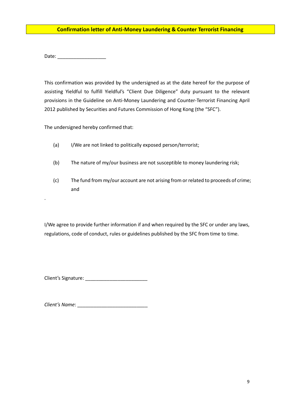#### **Confirmation letter of Anti-Money Laundering & Counter Terrorist Financing**

Date: \_\_\_\_\_\_\_\_\_\_\_\_\_\_\_\_\_\_

l

.

This confirmation was provided by the undersigned as at the date hereof for the purpose of assisting Yieldful to fulfill Yieldful's "Client Due Diligence" duty pursuant to the relevant provisions in the Guideline on Anti-Money Laundering and Counter-Terrorist Financing April 2012 published by Securities and Futures Commission of Hong Kong (the "SFC").

The undersigned hereby confirmed that:

- (a) I/We are not linked to politically exposed person/terrorist;
- (b) The nature of my/our business are not susceptible to money laundering risk;
- (c) The fund from my/our account are not arising from or related to proceeds of crime; and

I/We agree to provide further information if and when required by the SFC or under any laws, regulations, code of conduct, rules or guidelines published by the SFC from time to time.

Client's Signature: \_\_\_\_\_\_\_\_\_\_\_\_\_\_\_\_\_\_\_\_\_\_\_

*Client's Name*: \_\_\_\_\_\_\_\_\_\_\_\_\_\_\_\_\_\_\_\_\_\_\_\_\_\_